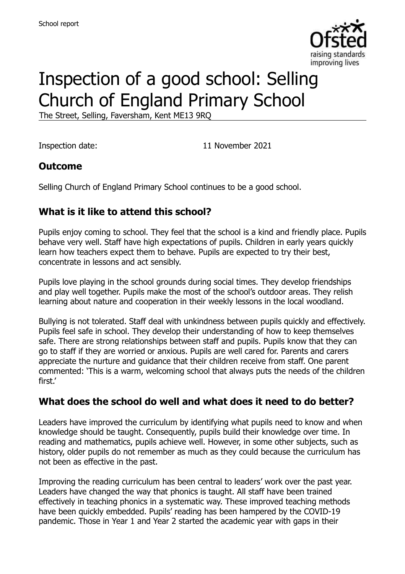

# Inspection of a good school: Selling Church of England Primary School

The Street, Selling, Faversham, Kent ME13 9RQ

Inspection date: 11 November 2021

#### **Outcome**

Selling Church of England Primary School continues to be a good school.

# **What is it like to attend this school?**

Pupils enjoy coming to school. They feel that the school is a kind and friendly place. Pupils behave very well. Staff have high expectations of pupils. Children in early years quickly learn how teachers expect them to behave. Pupils are expected to try their best, concentrate in lessons and act sensibly.

Pupils love playing in the school grounds during social times. They develop friendships and play well together. Pupils make the most of the school's outdoor areas. They relish learning about nature and cooperation in their weekly lessons in the local woodland.

Bullying is not tolerated. Staff deal with unkindness between pupils quickly and effectively. Pupils feel safe in school. They develop their understanding of how to keep themselves safe. There are strong relationships between staff and pupils. Pupils know that they can go to staff if they are worried or anxious. Pupils are well cared for. Parents and carers appreciate the nurture and guidance that their children receive from staff. One parent commented: 'This is a warm, welcoming school that always puts the needs of the children first'

#### **What does the school do well and what does it need to do better?**

Leaders have improved the curriculum by identifying what pupils need to know and when knowledge should be taught. Consequently, pupils build their knowledge over time. In reading and mathematics, pupils achieve well. However, in some other subjects, such as history, older pupils do not remember as much as they could because the curriculum has not been as effective in the past.

Improving the reading curriculum has been central to leaders' work over the past year. Leaders have changed the way that phonics is taught. All staff have been trained effectively in teaching phonics in a systematic way. These improved teaching methods have been quickly embedded. Pupils' reading has been hampered by the COVID-19 pandemic. Those in Year 1 and Year 2 started the academic year with gaps in their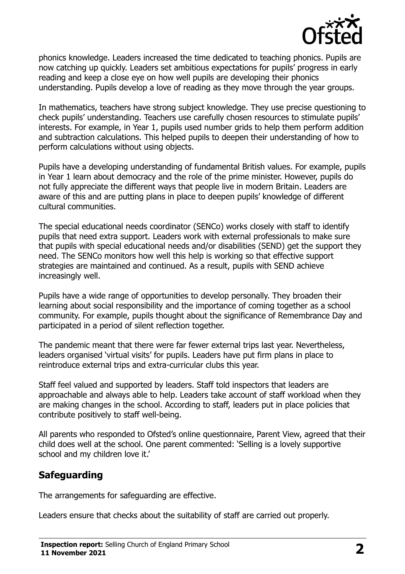

phonics knowledge. Leaders increased the time dedicated to teaching phonics. Pupils are now catching up quickly. Leaders set ambitious expectations for pupils' progress in early reading and keep a close eye on how well pupils are developing their phonics understanding. Pupils develop a love of reading as they move through the year groups.

In mathematics, teachers have strong subject knowledge. They use precise questioning to check pupils' understanding. Teachers use carefully chosen resources to stimulate pupils' interests. For example, in Year 1, pupils used number grids to help them perform addition and subtraction calculations. This helped pupils to deepen their understanding of how to perform calculations without using objects.

Pupils have a developing understanding of fundamental British values. For example, pupils in Year 1 learn about democracy and the role of the prime minister. However, pupils do not fully appreciate the different ways that people live in modern Britain. Leaders are aware of this and are putting plans in place to deepen pupils' knowledge of different cultural communities.

The special educational needs coordinator (SENCo) works closely with staff to identify pupils that need extra support. Leaders work with external professionals to make sure that pupils with special educational needs and/or disabilities (SEND) get the support they need. The SENCo monitors how well this help is working so that effective support strategies are maintained and continued. As a result, pupils with SEND achieve increasingly well.

Pupils have a wide range of opportunities to develop personally. They broaden their learning about social responsibility and the importance of coming together as a school community. For example, pupils thought about the significance of Remembrance Day and participated in a period of silent reflection together.

The pandemic meant that there were far fewer external trips last year. Nevertheless, leaders organised 'virtual visits' for pupils. Leaders have put firm plans in place to reintroduce external trips and extra-curricular clubs this year.

Staff feel valued and supported by leaders. Staff told inspectors that leaders are approachable and always able to help. Leaders take account of staff workload when they are making changes in the school. According to staff, leaders put in place policies that contribute positively to staff well-being.

All parents who responded to Ofsted's online questionnaire, Parent View, agreed that their child does well at the school. One parent commented: 'Selling is a lovely supportive school and my children love it.'

# **Safeguarding**

The arrangements for safeguarding are effective.

Leaders ensure that checks about the suitability of staff are carried out properly.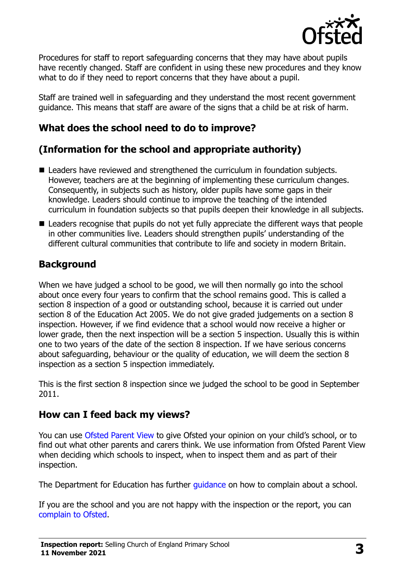

Procedures for staff to report safeguarding concerns that they may have about pupils have recently changed. Staff are confident in using these new procedures and they know what to do if they need to report concerns that they have about a pupil.

Staff are trained well in safeguarding and they understand the most recent government guidance. This means that staff are aware of the signs that a child be at risk of harm.

# **What does the school need to do to improve?**

# **(Information for the school and appropriate authority)**

- Leaders have reviewed and strengthened the curriculum in foundation subjects. However, teachers are at the beginning of implementing these curriculum changes. Consequently, in subjects such as history, older pupils have some gaps in their knowledge. Leaders should continue to improve the teaching of the intended curriculum in foundation subjects so that pupils deepen their knowledge in all subjects.
- Leaders recognise that pupils do not yet fully appreciate the different ways that people in other communities live. Leaders should strengthen pupils' understanding of the different cultural communities that contribute to life and society in modern Britain.

### **Background**

When we have judged a school to be good, we will then normally go into the school about once every four years to confirm that the school remains good. This is called a section 8 inspection of a good or outstanding school, because it is carried out under section 8 of the Education Act 2005. We do not give graded judgements on a section 8 inspection. However, if we find evidence that a school would now receive a higher or lower grade, then the next inspection will be a section 5 inspection. Usually this is within one to two years of the date of the section 8 inspection. If we have serious concerns about safeguarding, behaviour or the quality of education, we will deem the section 8 inspection as a section 5 inspection immediately.

This is the first section 8 inspection since we judged the school to be good in September 2011.

#### **How can I feed back my views?**

You can use [Ofsted Parent View](https://parentview.ofsted.gov.uk/) to give Ofsted your opinion on your child's school, or to find out what other parents and carers think. We use information from Ofsted Parent View when deciding which schools to inspect, when to inspect them and as part of their inspection.

The Department for Education has further quidance on how to complain about a school.

If you are the school and you are not happy with the inspection or the report, you can [complain to Ofsted.](https://www.gov.uk/complain-ofsted-report)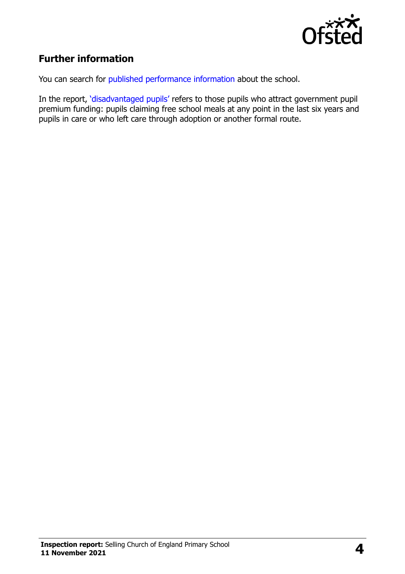

# **Further information**

You can search for [published performance](http://www.compare-school-performance.service.gov.uk/) information about the school.

In the report, '[disadvantaged pupils](http://www.gov.uk/guidance/pupil-premium-information-for-schools-and-alternative-provision-settings)' refers to those pupils who attract government pupil premium funding: pupils claiming free school meals at any point in the last six years and pupils in care or who left care through adoption or another formal route.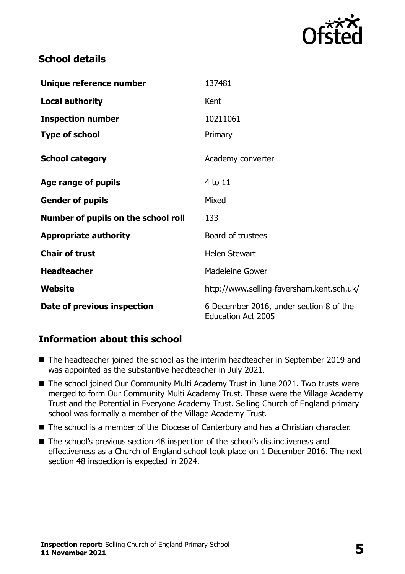

### **School details**

| Unique reference number             | 137481                                                               |
|-------------------------------------|----------------------------------------------------------------------|
| <b>Local authority</b>              | Kent                                                                 |
| <b>Inspection number</b>            | 10211061                                                             |
| <b>Type of school</b>               | Primary                                                              |
| <b>School category</b>              | Academy converter                                                    |
| Age range of pupils                 | 4 to 11                                                              |
| <b>Gender of pupils</b>             | Mixed                                                                |
| Number of pupils on the school roll | 133                                                                  |
| <b>Appropriate authority</b>        | Board of trustees                                                    |
| <b>Chair of trust</b>               | <b>Helen Stewart</b>                                                 |
| <b>Headteacher</b>                  | <b>Madeleine Gower</b>                                               |
| <b>Website</b>                      | http://www.selling-faversham.kent.sch.uk/                            |
| Date of previous inspection         | 6 December 2016, under section 8 of the<br><b>Education Act 2005</b> |

# **Information about this school**

- The headteacher joined the school as the interim headteacher in September 2019 and was appointed as the substantive headteacher in July 2021.
- The school joined Our Community Multi Academy Trust in June 2021. Two trusts were merged to form Our Community Multi Academy Trust. These were the Village Academy Trust and the Potential in Everyone Academy Trust. Selling Church of England primary school was formally a member of the Village Academy Trust.
- The school is a member of the Diocese of Canterbury and has a Christian character.
- The school's previous section 48 inspection of the school's distinctiveness and effectiveness as a Church of England school took place on 1 December 2016. The next section 48 inspection is expected in 2024.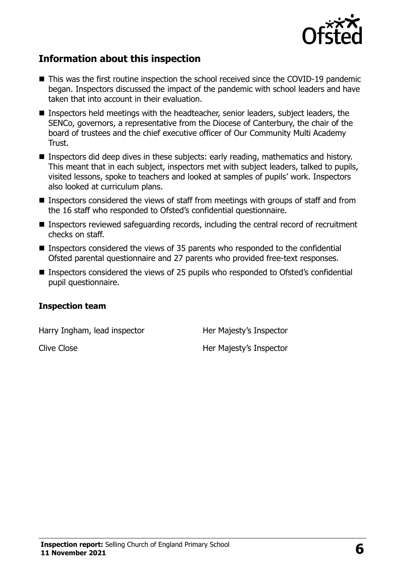

#### **Information about this inspection**

- This was the first routine inspection the school received since the COVID-19 pandemic began. Inspectors discussed the impact of the pandemic with school leaders and have taken that into account in their evaluation.
- Inspectors held meetings with the headteacher, senior leaders, subject leaders, the SENCo, governors, a representative from the Diocese of Canterbury, the chair of the board of trustees and the chief executive officer of Our Community Multi Academy Trust.
- **Inspectors did deep dives in these subjects: early reading, mathematics and history.** This meant that in each subject, inspectors met with subject leaders, talked to pupils, visited lessons, spoke to teachers and looked at samples of pupils' work. Inspectors also looked at curriculum plans.
- **Inspectors considered the views of staff from meetings with groups of staff and from** the 16 staff who responded to Ofsted's confidential questionnaire.
- Inspectors reviewed safeguarding records, including the central record of recruitment checks on staff.
- **Inspectors considered the views of 35 parents who responded to the confidential** Ofsted parental questionnaire and 27 parents who provided free-text responses.
- Inspectors considered the views of 25 pupils who responded to Ofsted's confidential pupil questionnaire.

#### **Inspection team**

Harry Ingham, lead inspector **Her Majesty's Inspector** 

Clive Close **Her Majesty's Inspector**